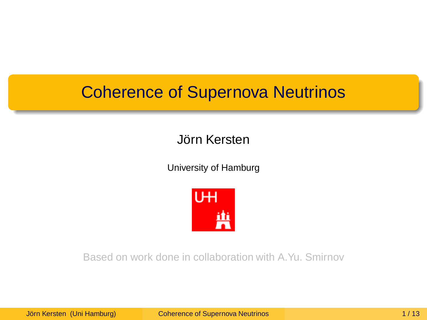#### Jörn Kersten

University of Hamburg

<span id="page-0-0"></span>

Based on work done in collaboration with A.Yu. Smirnov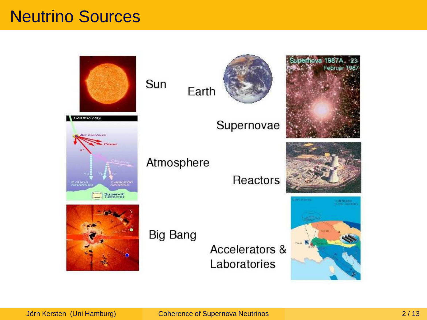#### Neutrino Sources

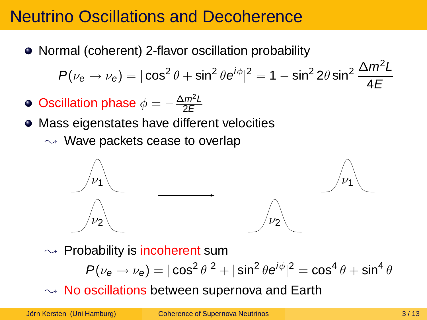## Neutrino Oscillations and Decoherence

• Normal (coherent) 2-flavor oscillation probability

$$
P(\nu_e \to \nu_e) = |\cos^2 \theta + \sin^2 \theta e^{i\phi}|^2 = 1 - \sin^2 2\theta \sin^2 \frac{\Delta m^2 L}{4E}
$$

- Oscillation phase  $\phi = -\frac{\Delta m^2 L}{2E}$ 2E
- Mass eigenstates have different velocities
	- $\rightsquigarrow$  Wave packets cease to overlap



 $\rightarrow$  Probability is incoherent sum

$$
P(\nu_e \to \nu_e) = |\cos^2 \theta|^2 + |\sin^2 \theta e^{i\phi}|^2 = \cos^4 \theta + \sin^4 \theta
$$

 $\rightsquigarrow$  No oscillations between supernova and Earth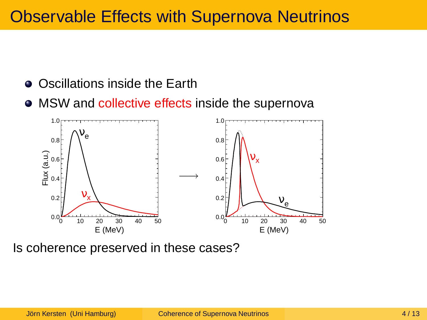# Observable Effects with Supernova Neutrinos

- Oscillations inside the Earth
- MSW and collective effects inside the supernova



Is coherence preserved in these cases?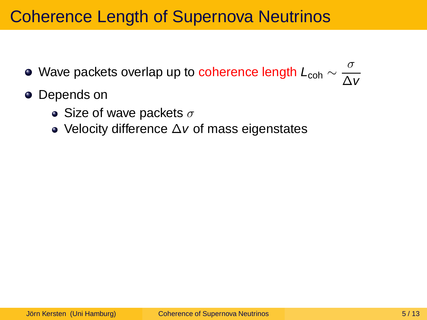- Wave packets overlap up to coherence length  $L_{\text{coh}}\sim\frac{\sigma}{\Delta}$ ∆v
- Depends on
	- Size of wave packets  $\sigma$
	- Velocity difference ∆v of mass eigenstates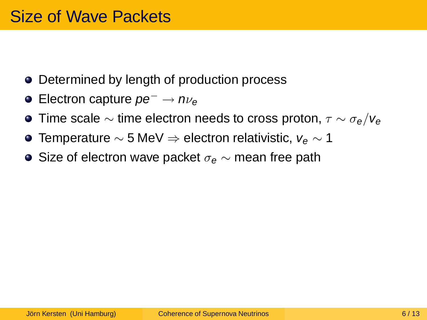- Determined by length of production process
- $\bullet$  Electron capture  $pe^- \rightarrow n\nu_e$
- **•** Time scale  $\sim$  time electron needs to cross proton,  $\tau \sim \sigma_e/V_e$
- Temperature  $\sim$  5 MeV  $\Rightarrow$  electron relativistic,  $v_e \sim 1$
- Size of electron wave packet  $\sigma_e \sim$  mean free path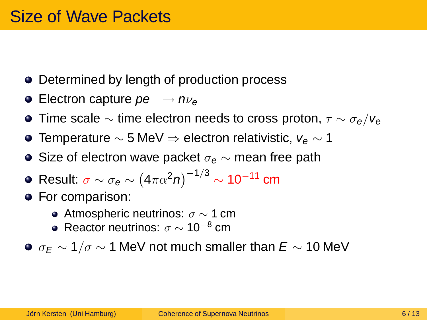- Determined by length of production process
- $\bullet$  Electron capture  $pe^- \rightarrow n\nu_e$
- **•** Time scale  $\sim$  time electron needs to cross proton,  $\tau \sim \sigma_e/V_e$
- Temperature  $\sim$  5 MeV  $\Rightarrow$  electron relativistic,  $v_e \sim 1$
- Size of electron wave packet  $\sigma_e \sim$  mean free path
- Result:  $\sigma \sim \sigma_{\bm{e}} \sim \left( 4 \pi \alpha^2 n \right)^{-1/3} \sim 10^{-11}$  cm
- **•** For comparison:
	- Atmospheric neutrinos:  $σ \sim 1$  cm
	- Reactor neutrinos:  $σ \sim 10^{-8}$  cm
- $\bullet \sigma_F \sim 1/\sigma \sim 1$  MeV not much smaller than  $E \sim 10$  MeV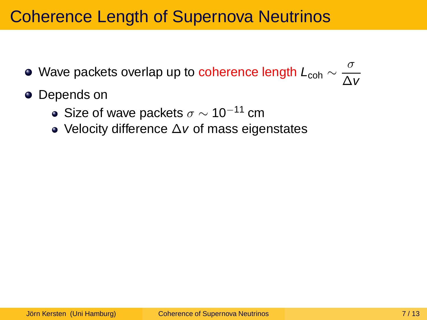- Wave packets overlap up to coherence length  $L_{\text{coh}}\sim\frac{\sigma}{\Delta}$ ∆v
- Depends on
	- Size of wave packets  $\sigma \sim 10^{-11}$  cm
	- Velocity difference ∆v of mass eigenstates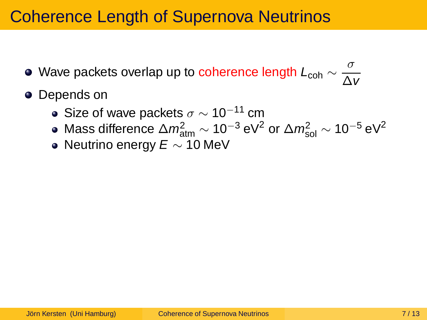- Wave packets overlap up to coherence length  $L_{\text{coh}}\sim\frac{\sigma}{\Delta}$ ∆v
- Depends on
	- Size of wave packets  $\sigma \sim 10^{-11}$  cm
	- Mass difference  $\Delta m^2_{\rm atm} \sim 10^{-3}$  eV $^2$  or  $\Delta m^2_{\rm sol} \sim 10^{-5}$  eV $^2$
	- Neutrino energy  $E \sim 10$  MeV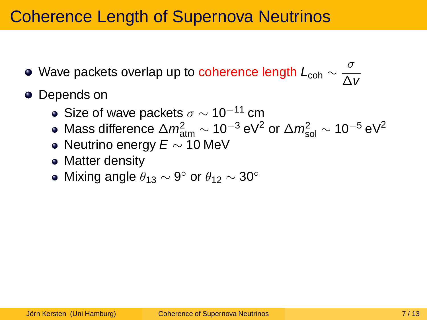- Wave packets overlap up to coherence length  $L_{\text{coh}}\sim\frac{\sigma}{\Delta}$ ∆v
- Depends on
	- Size of wave packets  $\sigma \sim 10^{-11}$  cm
	- Mass difference  $\Delta m^2_{\rm atm} \sim 10^{-3}$  eV $^2$  or  $\Delta m^2_{\rm sol} \sim 10^{-5}$  eV $^2$
	- Neutrino energy  $E \sim 10$  MeV
	- Matter density
	- Mixing angle  $\theta_{13} \sim 9^{\circ}$  or  $\theta_{12} \sim 30^{\circ}$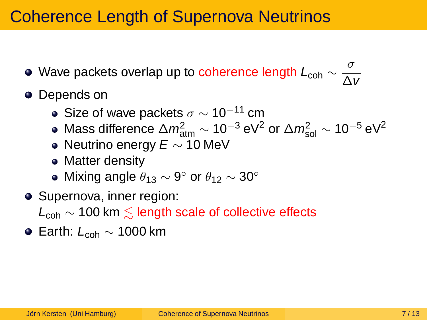- Wave packets overlap up to coherence length  $L_{\text{coh}}\sim\frac{\sigma}{\Delta}$ ∆v
- Depends on
	- Size of wave packets  $\sigma \sim 10^{-11}$  cm
	- Mass difference  $\Delta m^2_{\rm atm} \sim 10^{-3}$  eV $^2$  or  $\Delta m^2_{\rm sol} \sim 10^{-5}$  eV $^2$
	- Neutrino energy  $E \sim 10$  MeV
	- Matter density
	- Mixing angle  $\theta_{13} \sim 9^{\circ}$  or  $\theta_{12} \sim 30^{\circ}$
- Supernova, inner region:  $L_{coh}$  ~ 100 km  $\leq$  length scale of collective effects
- $\bullet$  Earth:  $L_{coh} \sim 1000$  km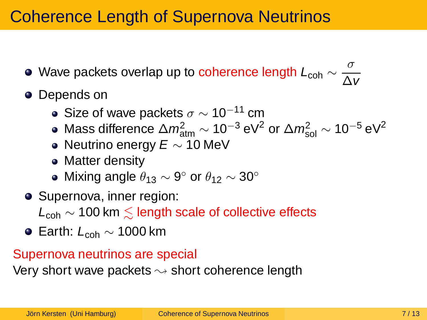- Wave packets overlap up to coherence length  $L_{\text{coh}}\sim\frac{\sigma}{\Delta}$ ∆v
- Depends on
	- Size of wave packets  $\sigma \sim 10^{-11}$  cm
	- Mass difference  $\Delta m^2_{\rm atm} \sim 10^{-3}$  eV $^2$  or  $\Delta m^2_{\rm sol} \sim 10^{-5}$  eV $^2$
	- Neutrino energy  $E \sim 10$  MeV
	- Matter density
	- Mixing angle  $\theta_{13} \sim 9^{\circ}$  or  $\theta_{12} \sim 30^{\circ}$
- Supernova, inner region:

 $L_{coh}$  ~ 100 km  $\leq$  length scale of collective effects

 $\bullet$  Earth:  $L_{coh} \sim 1000$  km

#### Supernova neutrinos are special

Very short wave packets  $\rightsquigarrow$  short coherence length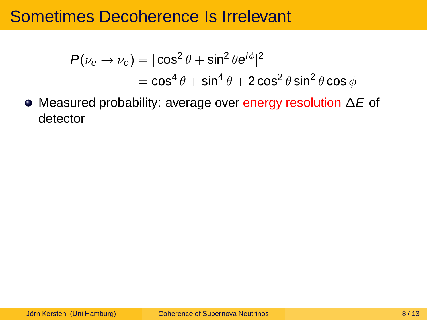$$
P(\nu_e \to \nu_e) = |\cos^2 \theta + \sin^2 \theta e^{i\phi}|^2
$$
  
=  $\cos^4 \theta + \sin^4 \theta + 2 \cos^2 \theta \sin^2 \theta \cos \phi$ 

Measured probability: average over energy resolution ∆E of detector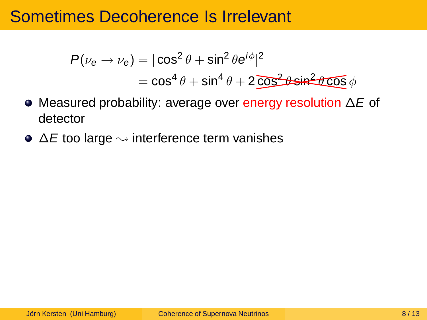$$
P(\nu_e \to \nu_e) = |\cos^2 \theta + \sin^2 \theta e^{i\phi}|^2
$$
  
=  $\cos^4 \theta + \sin^4 \theta + 2\overline{\cos^2 \theta} \sin^2 \theta \cos \phi$ 

- Measured probability: average over energy resolution ∆E of detector
- $\bullet \Delta E$  too large  $\rightsquigarrow$  interference term vanishes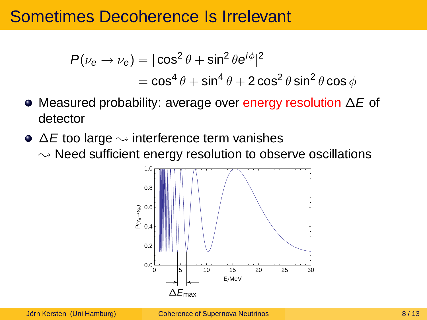$$
P(\nu_e \to \nu_e) = |\cos^2 \theta + \sin^2 \theta e^{i\phi}|^2
$$
  
=  $\cos^4 \theta + \sin^4 \theta + 2 \cos^2 \theta \sin^2 \theta \cos \phi$ 

- Measured probability: average over energy resolution ∆E of detector
- $\bullet \Delta E$  too large  $\rightsquigarrow$  interference term vanishes  $\sim$  Need sufficient energy resolution to observe oscillations

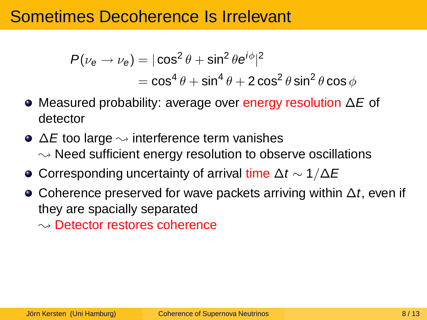$$
P(\nu_e \to \nu_e) = |\cos^2 \theta + \sin^2 \theta e^{i\phi}|^2
$$
  
=  $\cos^4 \theta + \sin^4 \theta + 2 \cos^2 \theta \sin^2 \theta \cos \phi$ 

- Measured probability: average over energy resolution ∆E of detector
- $\bullet \Delta E$  too large  $\rightsquigarrow$  interference term vanishes  $\rightsquigarrow$  Need sufficient energy resolution to observe oscillations
- $\bullet$  Corresponding uncertainty of arrival time  $\Delta t \sim 1/\Delta E$
- Coherence preserved for wave packets arriving within  $\Delta t$ , even if they are spacially separated

 $\sim$  Detector restores coherence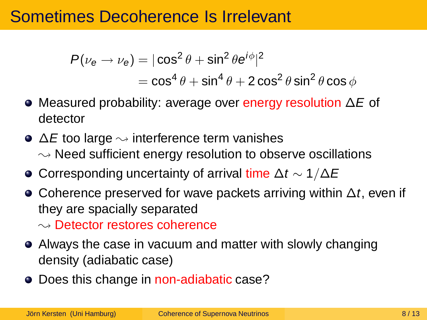$$
P(\nu_e \to \nu_e) = |\cos^2 \theta + \sin^2 \theta e^{i\phi}|^2
$$
  
=  $\cos^4 \theta + \sin^4 \theta + 2 \cos^2 \theta \sin^2 \theta \cos \phi$ 

- Measured probability: average over energy resolution ∆E of detector
- $\bullet \Delta E$  too large  $\rightsquigarrow$  interference term vanishes  $\rightsquigarrow$  Need sufficient energy resolution to observe oscillations
- $\bullet$  Corresponding uncertainty of arrival time  $\Delta t \sim 1/\Delta E$
- Coherence preserved for wave packets arriving within  $\Delta t$ , even if they are spacially separated  $\sim$  Detector restores coherence
- Always the case in vacuum and matter with slowly changing density (adiabatic case)
- Does this change in non-adiabatic case?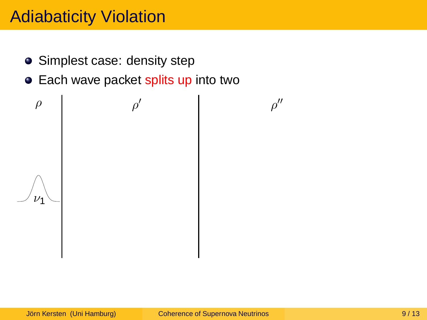- Simplest case: density step
- Each wave packet splits up into two

 $\nu_1$  $\rho$  |  $\rho$ ′ ρ

 $\rho''$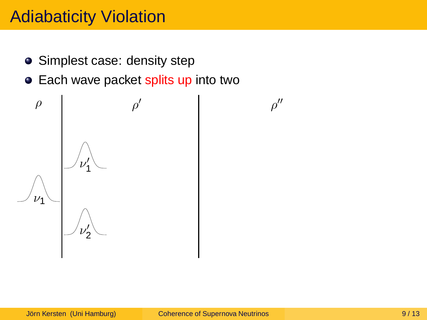- Simplest case: density step
- Each wave packet splits up into two



 $\rho''$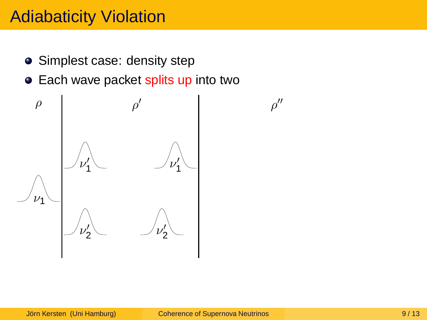- Simplest case: density step
- Each wave packet splits up into two



 $\rho''$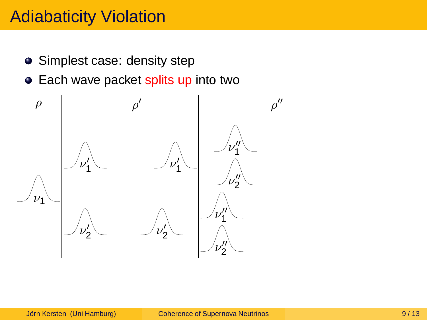- Simplest case: density step
- Each wave packet splits up into two

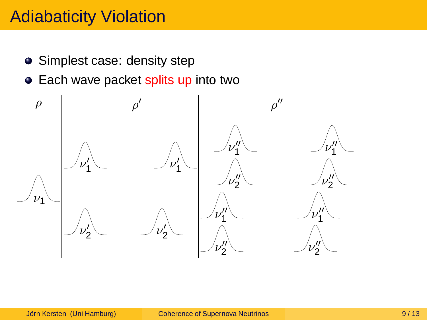- Simplest case: density step
- Each wave packet splits up into two

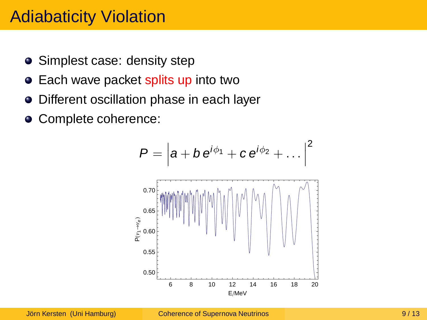- Simplest case: density step
- Each wave packet splits up into two
- Different oscillation phase in each layer  $\bullet$
- Complete coherence:

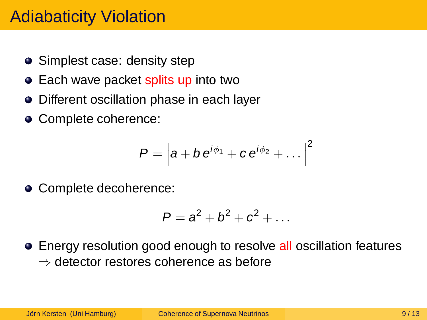- Simplest case: density step
- Each wave packet splits up into two
- Different oscillation phase in each layer
- Complete coherence:

$$
P=\left|a+b e^{i\phi_1}+c e^{i\phi_2}+\ldots\right|^2
$$

● Complete decoherence:

$$
P=a^2+b^2+c^2+\ldots
$$

• Energy resolution good enough to resolve all oscillation features ⇒ detector restores coherence as before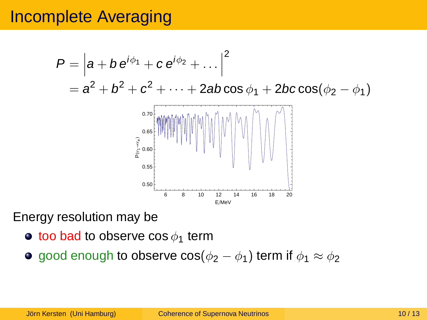# Incomplete Averaging



Energy resolution may be

- $\bullet$  too bad to observe cos  $\phi_1$  term
- **o** good enough to observe cos( $\phi_2 \phi_1$ ) term if  $\phi_1 \approx \phi_2$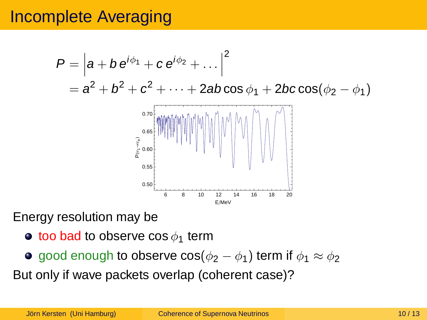# Incomplete Averaging



Energy resolution may be

- $\bullet$  too bad to observe cos  $\phi_1$  term
- **o** good enough to observe  $cos(\phi_2 \phi_1)$  term if  $\phi_1 \approx \phi_2$

But only if wave packets overlap (coherent case)?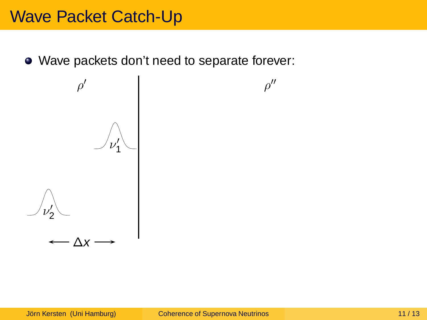Wave packets don't need to separate forever:



 $\rho''$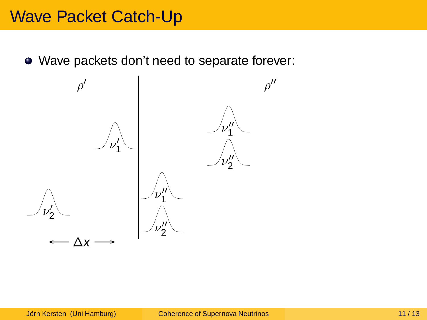Wave packets don't need to separate forever:

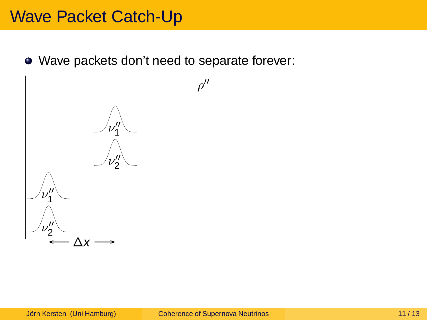Wave packets don't need to separate forever:

 $\rho''$ 

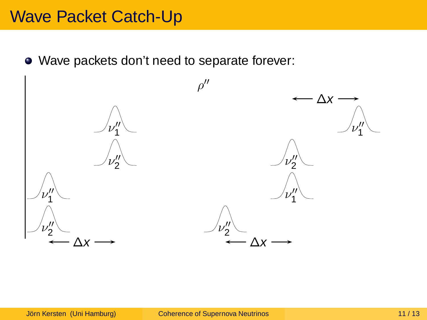Wave packets don't need to separate forever:

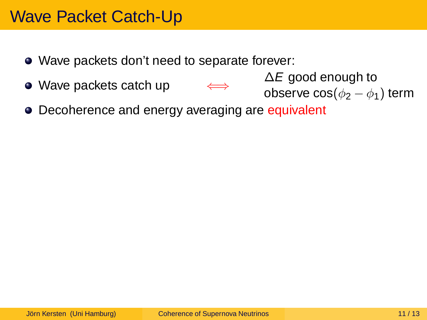- Wave packets don't need to separate forever:
- Wave packets catch up
- $\Delta E$  good enough to observe  $\cos(\phi_2 - \phi_1)$  term
- Decoherence and energy averaging are equivalent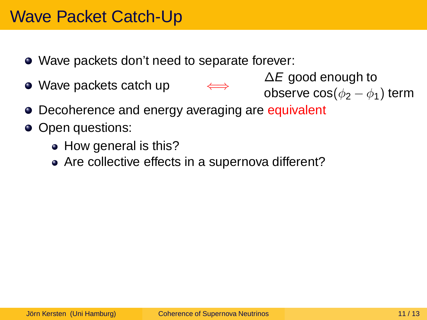- Wave packets don't need to separate forever:
- Wave packets catch up

 $\Delta E$  good enough to observe  $\cos(\phi_2 - \phi_1)$  term

- Decoherence and energy averaging are equivalent
- Open questions:
	- How general is this?
	- Are collective effects in a supernova different?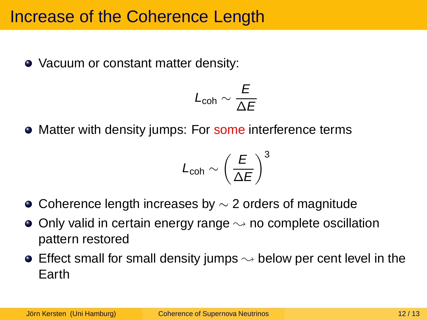#### Increase of the Coherence Length

• Vacuum or constant matter density:

$$
L_{\text{coh}}\sim\frac{E}{\Delta E}
$$

• Matter with density jumps: For some interference terms

$$
L_{\mathsf{coh}}\sim\left(\frac{E}{\Delta E}\right)^3
$$

- $\bullet$  Coherence length increases by  $\sim$  2 orders of magnitude
- $\bullet$  Only valid in certain energy range  $\rightsquigarrow$  no complete oscillation pattern restored
- **•** Effect small for small density jumps  $\rightsquigarrow$  below per cent level in the Earth